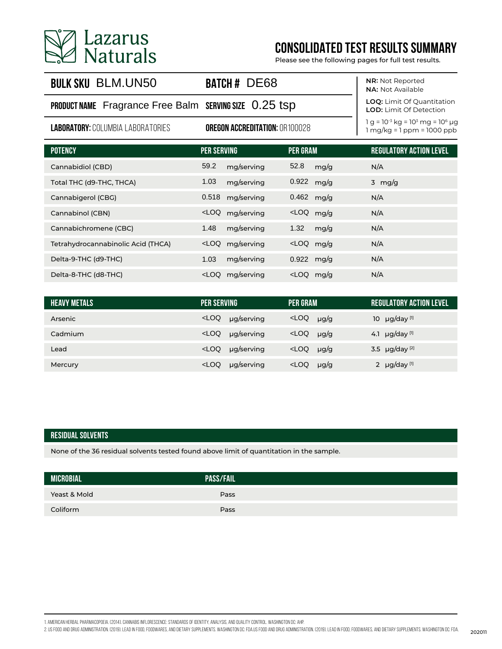

# **CONSOLIDATED TEST RESULTS SUMMARY**

Please see the following pages for full test results.

## **BULK SKU BLM.UN50**

PRODUCT NAME Fragrance Free Balm SERVING SIZE 0.25 tsp

**LABORATORY:**COLUMBIA LABORATORIES **OREGON ACCREDITATION:**OR100028

**BATCH # DE68** 

**NR:** Not Reported **NA:** Not Available

**LOQ:** Limit Of Quantitation **LOD:** Limit Of Detection

l g = 10<sup>-3</sup> kg = 10<sup>3</sup> mg = 10<sup>6</sup> μg 1 mg/kg = 1 ppm = 1000 ppb

| <b>POTENCY</b>                     | <b>PER SERVING</b>          | <b>PER GRAM</b>                           | <b>REGULATORY ACTION LEVEL</b> |
|------------------------------------|-----------------------------|-------------------------------------------|--------------------------------|
| Cannabidiol (CBD)                  | 59.2<br>mg/serving          | 52.8<br>mg/g                              | N/A                            |
| Total THC (d9-THC, THCA)           | 1.03<br>mg/serving          | 0.922<br>mg/g                             | $3 \text{ mg/g}$               |
| Cannabigerol (CBG)                 | 0.518<br>mg/serving         | 0.462<br>mg/g                             | N/A                            |
| Cannabinol (CBN)                   | <loq<br>mg/serving</loq<br> | <loq g<="" mg="" td=""><td>N/A</td></loq> | N/A                            |
| Cannabichromene (CBC)              | 1.48<br>mg/serving          | 1.32<br>mg/g                              | N/A                            |
| Tetrahydrocannabinolic Acid (THCA) | <loq<br>mg/serving</loq<br> | <loq g<="" mg="" td=""><td>N/A</td></loq> | N/A                            |
| Delta-9-THC (d9-THC)               | 1.03<br>mg/serving          | $0.922$ mg/g                              | N/A                            |
| Delta-8-THC (d8-THC)               | <loq<br>mg/serving</loq<br> | <loq<br>mg/g</loq<br>                     | N/A                            |

| <b>HEAVY METALS</b> | PER SERVING                 | PER GRAM                             | <b>REGULATORY ACTION LEVEL</b> |
|---------------------|-----------------------------|--------------------------------------|--------------------------------|
| Arsenic             | <loq<br>µg/serving</loq<br> | <loq<br><math>\mu</math>g/g</loq<br> | 10 $\mu$ g/day [1]             |
| Cadmium             | <loq<br>µg/serving</loq<br> | <loq<br><math>\mu</math>g/g</loq<br> | 4.1 $\mu$ g/day [1]            |
| Lead                | <loq<br>µg/serving</loq<br> | <loq<br><math>\mu</math>g/g</loq<br> | 3.5 $\mu$ g/day <sup>[2]</sup> |
| Mercury             | <loq<br>µg/serving</loq<br> | <loq<br><math>\mu</math>g/g</loq<br> | 2 $\mu$ g/day [1]              |

#### **RESIDUAL SOLVENTS**

None of the 36 residual solvents tested found above limit of quantitation in the sample.

| <b>MICROBIAL</b> | <b>PASS/FAIL!</b> |  |
|------------------|-------------------|--|
| Yeast & Mold     | Pass              |  |
| Coliform         | Pass              |  |

1. American Herbal Pharmacopoeia. (2014). Cannabis Inflorescence: Standards of Identity, Analysis, and Quality Control. Washington DC: AHP.

202011 202011 2010 ADMINISTRATION. (2019). LEAD IN FOOD, FOODWARES, AND DIETARY SUPPLEMENTS. WASHINGTON DC: FDA.US FOOD AND DRUG ADMINISTRATION. (2019). LEAD IN FOOD, FOODWARES, AND DIETARY SUPPLEMENTS. WASHINGTON DC: FDA.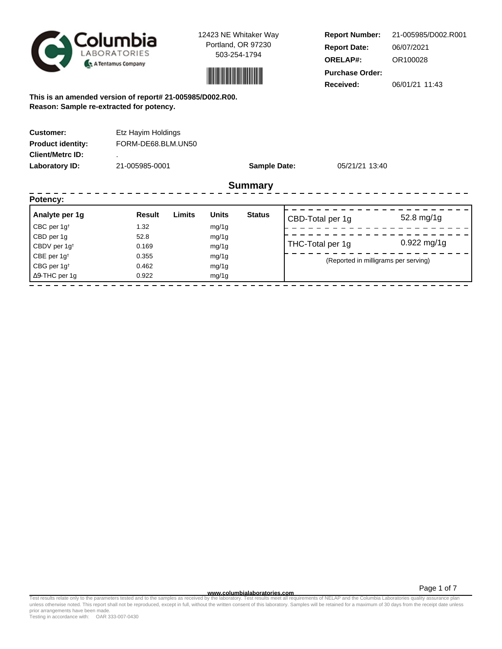



**Report Number: Report Date: ORELAP#:** 06/07/2021 OR100028 **Received:** 06/01/21 11:43 **Purchase Order:** 21-005985/D002.R001

**This is an amended version of report# 21-005985/D002.R00. Reason: Sample re-extracted for potency.**

| <b>Customer:</b><br><b>Product identity:</b> | Etz Hayim Holdings<br>FORM-DE68.BLM.UN50 |                     |                |
|----------------------------------------------|------------------------------------------|---------------------|----------------|
| <b>Client/Metrc ID:</b>                      |                                          |                     |                |
| Laboratory ID:                               | 21-005985-0001                           | <b>Sample Date:</b> | 05/21/21 13:40 |
|                                              |                                          | <b>Summary</b>      |                |
| Potency:                                     |                                          |                     |                |

| Analyte per 1g<br>CBC per $1g^{\dagger}$           | <b>Result</b><br>1.32 | Limits | <b>Units</b><br>mg/1g | <b>Status</b> | CBD-Total per 1g                     | 52.8 mg/1g    |  |
|----------------------------------------------------|-----------------------|--------|-----------------------|---------------|--------------------------------------|---------------|--|
| CBD per 1g                                         | 52.8                  |        | mg/1g                 |               |                                      | $0.922$ mg/1g |  |
| CBDV per 1g <sup>t</sup><br>CBE per $1g^{\dagger}$ | 0.169<br>0.355        |        | mg/1g<br>mg/1g        |               | THC-Total per 1g                     |               |  |
| CBG per $1g†$<br>$\Delta$ 9-THC per 1q             | 0.462<br>0.922        |        | mg/1g<br>mg/1g        |               | (Reported in milligrams per serving) |               |  |

**www.columbialaboratories.com**

Test results relate only to the parameters tested and to the samples as received by the laboratory. Test results meet all requirements of NELAP and the Columbia Laboratories quality assurance plan<br>unless otherwise noted. T prior arrangements have been made.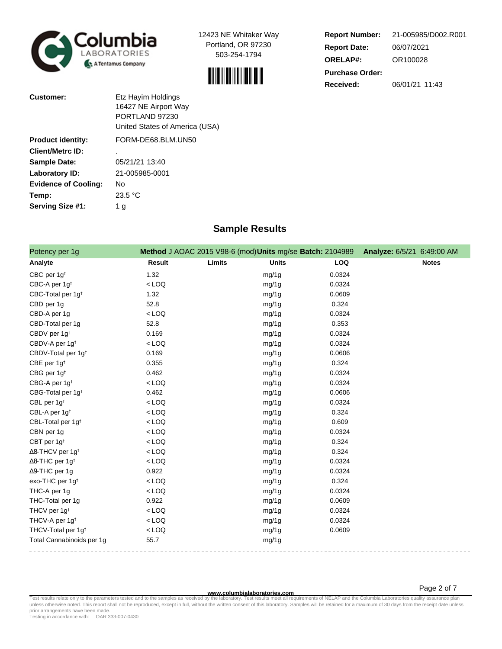



**Report Number: Report Date: ORELAP#:** 06/07/2021 OR100028 **Received:** 06/01/21 11:43 **Purchase Order:** 21-005985/D002.R001

| <b>Customer:</b>            | Etz Hayim Holdings<br>16427 NE Airport Way<br>PORTLAND 97230<br>United States of America (USA) |
|-----------------------------|------------------------------------------------------------------------------------------------|
| <b>Product identity:</b>    | FORM-DE68.BLM.UN50                                                                             |
| <b>Client/Metrc ID:</b>     |                                                                                                |
| <b>Sample Date:</b>         | 05/21/21 13:40                                                                                 |
| Laboratory ID:              | 21-005985-0001                                                                                 |
| <b>Evidence of Cooling:</b> | Nο                                                                                             |
| Temp:                       | 23.5 °C                                                                                        |
| Serving Size #1:            | 1 g                                                                                            |

## **Sample Results**

| Potency per 1g                      |         |        | Method J AOAC 2015 V98-6 (mod) Units mg/se Batch: 2104989 |            | Analyze: 6/5/21 6:49:00 AM |              |
|-------------------------------------|---------|--------|-----------------------------------------------------------|------------|----------------------------|--------------|
| Analyte                             | Result  | Limits | <b>Units</b>                                              | <b>LOQ</b> |                            | <b>Notes</b> |
| CBC per $1g†$                       | 1.32    |        | mg/1g                                                     | 0.0324     |                            |              |
| CBC-A per 1g <sup>t</sup>           | $<$ LOQ |        | mg/1g                                                     | 0.0324     |                            |              |
| CBC-Total per 1g <sup>t</sup>       | 1.32    |        | mg/1g                                                     | 0.0609     |                            |              |
| CBD per 1g                          | 52.8    |        | mg/1g                                                     | 0.324      |                            |              |
| CBD-A per 1g                        | $<$ LOQ |        | mg/1g                                                     | 0.0324     |                            |              |
| CBD-Total per 1g                    | 52.8    |        | mg/1g                                                     | 0.353      |                            |              |
| CBDV per 1g <sup>t</sup>            | 0.169   |        | mg/1g                                                     | 0.0324     |                            |              |
| CBDV-A per 1g <sup>t</sup>          | $<$ LOQ |        | mg/1g                                                     | 0.0324     |                            |              |
| CBDV-Total per 1g <sup>+</sup>      | 0.169   |        | mg/1g                                                     | 0.0606     |                            |              |
| CBE per 1g <sup>t</sup>             | 0.355   |        | mg/1g                                                     | 0.324      |                            |              |
| CBG per 1g <sup>t</sup>             | 0.462   |        | mg/1g                                                     | 0.0324     |                            |              |
| CBG-A per 1g <sup>t</sup>           | $<$ LOQ |        | mg/1g                                                     | 0.0324     |                            |              |
| CBG-Total per 1g <sup>+</sup>       | 0.462   |        | mg/1g                                                     | 0.0606     |                            |              |
| CBL per 1g <sup>t</sup>             | $<$ LOQ |        | mg/1g                                                     | 0.0324     |                            |              |
| CBL-A per 1g <sup>t</sup>           | $<$ LOQ |        | mg/1g                                                     | 0.324      |                            |              |
| CBL-Total per 1g <sup>t</sup>       | $<$ LOQ |        | mg/1g                                                     | 0.609      |                            |              |
| CBN per 1g                          | $<$ LOQ |        | mg/1g                                                     | 0.0324     |                            |              |
| CBT per 1g <sup>t</sup>             | $<$ LOQ |        | mg/1g                                                     | 0.324      |                            |              |
| $\Delta$ 8-THCV per 1g <sup>+</sup> | $<$ LOQ |        | mg/1g                                                     | 0.324      |                            |              |
| $\Delta$ 8-THC per 1g <sup>+</sup>  | $<$ LOQ |        | mg/1g                                                     | 0.0324     |                            |              |
| $\Delta$ 9-THC per 1g               | 0.922   |        | mg/1g                                                     | 0.0324     |                            |              |
| exo-THC per 1g <sup>t</sup>         | $<$ LOQ |        | mg/1g                                                     | 0.324      |                            |              |
| THC-A per 1g                        | $<$ LOQ |        | mg/1g                                                     | 0.0324     |                            |              |
| THC-Total per 1g                    | 0.922   |        | mg/1g                                                     | 0.0609     |                            |              |
| THCV per 1g <sup>t</sup>            | $<$ LOQ |        | mg/1g                                                     | 0.0324     |                            |              |
| THCV-A per 1g <sup>t</sup>          | $<$ LOQ |        | mg/1g                                                     | 0.0324     |                            |              |
| THCV-Total per 1g <sup>+</sup>      | $<$ LOQ |        | mg/1g                                                     | 0.0609     |                            |              |
| Total Cannabinoids per 1g           | 55.7    |        | mg/1g                                                     |            |                            |              |

**WWW.columbialaboratories.com**<br>unless otherwise noted. This report shall not be reproduced, except in full, without the written consent of this laboratory. Samples will be retained for a maximum of 30 days from the receipt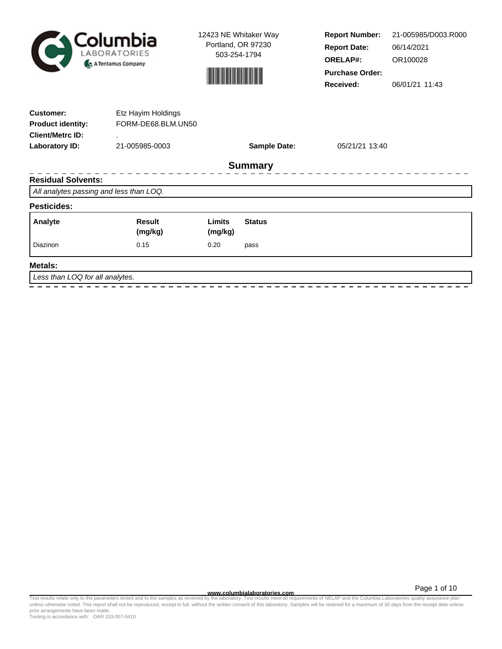



**Report Number: Report Date: ORELAP#:** 06/14/2021 OR100028 **Received:** 06/01/21 11:43 **Purchase Order:** 21-005985/D003.R000

| <b>Customer:</b>                        | Etz Hayim Holdings |                   |                     |                               |  |
|-----------------------------------------|--------------------|-------------------|---------------------|-------------------------------|--|
| <b>Product identity:</b>                | FORM-DE68.BLM.UN50 |                   |                     |                               |  |
| <b>Client/Metrc ID:</b>                 |                    |                   |                     |                               |  |
| <b>Laboratory ID:</b>                   | 21-005985-0003     |                   | <b>Sample Date:</b> | 05/21/21 13:40                |  |
|                                         |                    |                   | <b>Summary</b>      |                               |  |
| <b>Residual Solvents:</b>               |                    |                   |                     |                               |  |
| All analytes passing and less than LOQ. |                    |                   |                     |                               |  |
| <b>Pesticides:</b>                      |                    |                   |                     |                               |  |
| Analyte                                 | Result<br>(mg/kg)  | Limits<br>(mg/kg) | <b>Status</b>       |                               |  |
| Diazinon                                | 0.15               | 0.20              | pass                |                               |  |
| <b>Metals:</b>                          |                    |                   |                     |                               |  |
| Less than LOQ for all analytes.         |                    |                   |                     |                               |  |
|                                         |                    |                   |                     | ----------------------------- |  |

**WWW.columbialaboratories.com**<br>unless otherwise noted. This report shall not be reproduced, except in full, without the written consent of this laboratory. Test results meet all requirements of NELAP and the Columbia Labor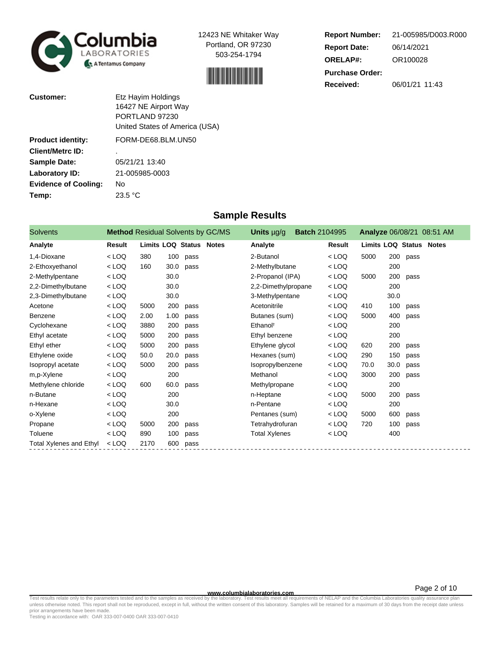



**Report Number: Report Date: ORELAP#:** 06/14/2021 OR100028 **Received:** 06/01/21 11:43 **Purchase Order:** 21-005985/D003.R000

| <b>Customer:</b>            | Etz Hayim Holdings<br>16427 NE Airport Way<br>PORTLAND 97230<br>United States of America (USA) |
|-----------------------------|------------------------------------------------------------------------------------------------|
| <b>Product identity:</b>    | FORM-DE68.BLM.UN50                                                                             |
| <b>Client/Metrc ID:</b>     |                                                                                                |
| <b>Sample Date:</b>         | 05/21/21 13:40                                                                                 |
| Laboratory ID:              | 21-005985-0003                                                                                 |
| <b>Evidence of Cooling:</b> | Nο                                                                                             |
| Temp:                       | 23.5 °C                                                                                        |

### **Sample Results**

| <b>Solvents</b>                | <b>Method Residual Solvents by GC/MS</b> |                                |      |      | Units $\mu$ g/g      | <b>Batch 2104995</b> |         |                                |      |      | <b>Analyze 06/08/21 08:51 AM</b> |
|--------------------------------|------------------------------------------|--------------------------------|------|------|----------------------|----------------------|---------|--------------------------------|------|------|----------------------------------|
| Analyte                        | Result                                   | <b>Limits LOQ Status Notes</b> |      |      | Analyte              |                      | Result  | <b>Limits LOQ Status Notes</b> |      |      |                                  |
| 1,4-Dioxane                    | $<$ LOQ                                  | 380                            | 100  | pass | 2-Butanol            |                      | $<$ LOQ | 5000                           | 200  | pass |                                  |
| 2-Ethoxyethanol                | $<$ LOQ                                  | 160                            | 30.0 | pass | 2-Methylbutane       |                      | $<$ LOQ |                                | 200  |      |                                  |
| 2-Methylpentane                | $<$ LOQ                                  |                                | 30.0 |      | 2-Propanol (IPA)     |                      | $<$ LOQ | 5000                           | 200  | pass |                                  |
| 2,2-Dimethylbutane             | $<$ LOQ                                  |                                | 30.0 |      | 2,2-Dimethylpropane  |                      | $<$ LOQ |                                | 200  |      |                                  |
| 2,3-Dimethylbutane             | $<$ LOQ                                  |                                | 30.0 |      | 3-Methylpentane      |                      | $<$ LOQ |                                | 30.0 |      |                                  |
| Acetone                        | $<$ LOQ                                  | 5000                           | 200  | pass | Acetonitrile         |                      | $<$ LOQ | 410                            | 100  | pass |                                  |
| Benzene                        | $<$ LOQ                                  | 2.00                           | 1.00 | pass | Butanes (sum)        |                      | $<$ LOQ | 5000                           | 400  | pass |                                  |
| Cyclohexane                    | $<$ LOQ                                  | 3880                           | 200  | pass | Ethanol <sup>t</sup> |                      | $<$ LOQ |                                | 200  |      |                                  |
| Ethyl acetate                  | $<$ LOQ                                  | 5000                           | 200  | pass | Ethyl benzene        |                      | $<$ LOQ |                                | 200  |      |                                  |
| Ethyl ether                    | $<$ LOQ                                  | 5000                           | 200  | pass | Ethylene glycol      |                      | $<$ LOQ | 620                            | 200  | pass |                                  |
| Ethylene oxide                 | $<$ LOQ                                  | 50.0                           | 20.0 | pass | Hexanes (sum)        |                      | $<$ LOQ | 290                            | 150  | pass |                                  |
| Isopropyl acetate              | $<$ LOQ                                  | 5000                           | 200  | pass | Isopropylbenzene     |                      | $<$ LOQ | 70.0                           | 30.0 | pass |                                  |
| m,p-Xylene                     | $<$ LOQ                                  |                                | 200  |      | Methanol             |                      | $<$ LOQ | 3000                           | 200  | pass |                                  |
| Methylene chloride             | $<$ LOQ                                  | 600                            | 60.0 | pass | Methylpropane        |                      | $<$ LOQ |                                | 200  |      |                                  |
| n-Butane                       | $<$ LOQ                                  |                                | 200  |      | n-Heptane            |                      | $<$ LOQ | 5000                           | 200  | pass |                                  |
| n-Hexane                       | $<$ LOQ                                  |                                | 30.0 |      | n-Pentane            |                      | $<$ LOQ |                                | 200  |      |                                  |
| o-Xylene                       | $<$ LOQ                                  |                                | 200  |      | Pentanes (sum)       |                      | $<$ LOQ | 5000                           | 600  | pass |                                  |
| Propane                        | $<$ LOQ                                  | 5000                           | 200  | pass | Tetrahydrofuran      |                      | $<$ LOQ | 720                            | 100  | pass |                                  |
| Toluene                        | $<$ LOQ                                  | 890                            | 100  | pass | <b>Total Xylenes</b> |                      | $<$ LOQ |                                | 400  |      |                                  |
| <b>Total Xylenes and Ethyl</b> | $<$ LOQ                                  | 2170                           | 600  | pass |                      |                      |         |                                |      |      |                                  |

**WWW.columbialaboratories.com**<br>unless otherwise noted. This report shall not be reproduced, except in full, without the written consent of this laboratory. Test results meet all requirements of NELAP and the Columbia Labor